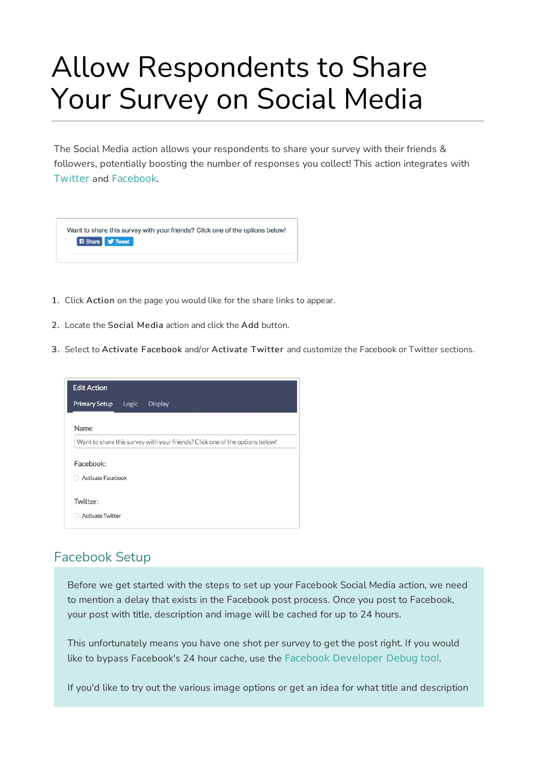# Allow Respondents to Share Your Survey on Social Media

The Social Media action allows your respondents to share your survey with their friends & followers, potentially boosting the number of responses you collect! This action integrates with Twitter and Facebook.

| Want to share this survey with your friends? Click one of the options below! |
|------------------------------------------------------------------------------|
| <b>B</b> Share <b>V</b> Tweet                                                |
|                                                                              |

- 1. Click Action on the page you would like for the share links to appear.
- 2. Locate the Social Media action and click the Add button.
- 3. Select to Activate Facebook and/or Activate Twitter and customize the Facebook or Twitter sections.

| <b>Primary Setup</b><br>Logic<br><b>Display</b><br>Name                      | <b>Edit Action</b> |  |  |
|------------------------------------------------------------------------------|--------------------|--|--|
|                                                                              |                    |  |  |
|                                                                              |                    |  |  |
| Want to share this survey with your friends? Click one of the options below! |                    |  |  |
| Facebook:<br><b>Activate Facebook</b>                                        |                    |  |  |
| Twitter:                                                                     |                    |  |  |
| <b>Activate Twitter</b>                                                      |                    |  |  |

### Facebook Setup

Before we get started with the steps to set up your Facebook Social Media action, we need to mention a delay that exists in the Facebook post process. Once you post to Facebook, your post with title, description and image will be cached for up to 24 hours.

This unfortunately means you have one shot per survey to get the post right. If you would like to bypass Facebook's 24 hour cache, use the Facebook Developer Debug tool.

If you'd like to try out the various image options or get an idea for what title and description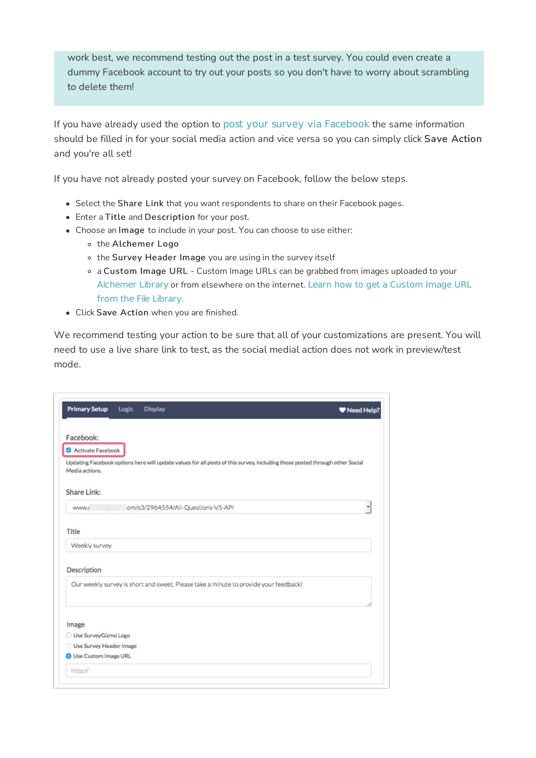work best, we recommend testing out the post in a test survey. You could even create a dummy Facebook account to try out your posts so you don't have to worry about scrambling to delete them!

If you have already used the option to post your survey via Facebook the same information should be filled in for your social media action and vice versa so you can simply click Save Action and you're all set!

If you have not already posted your survey on Facebook, follow the below steps.

- Select the Share Link that you want respondents to share on their Facebook pages.
- Enter a Title and Description for your post.
- Choose an Image to include in your post. You can choose to use either:
	- o the Alchemer Logo
	- o the Survey Header Image you are using in the survey itself
	- a Custom Image URL Custom Image URLs can be grabbed from images uploaded to your Alchemer Library or from elsewhere on the internet. Learn how to get a Custom Image URL from the File Library.
- Click Save Action when you are finished.

We recommend testing your action to be sure that all of your customizations are present. You will need to use a live share link to test, as the social medial action does not work in preview/test mode.

| <b>Primary Setup</b>          | Logic | <b>Display</b>                      |                                                                                                                             | W Need Help? |
|-------------------------------|-------|-------------------------------------|-----------------------------------------------------------------------------------------------------------------------------|--------------|
| Facebook:                     |       |                                     |                                                                                                                             |              |
| Activate Facebook             |       |                                     |                                                                                                                             |              |
| Media actions.                |       |                                     | Updating Facebook options here will update values for all posts of this survey, including those posted through other Social |              |
| Share Link:                   |       |                                     |                                                                                                                             |              |
| www.s                         |       | :om/s3/2964554/All-Questions-V5-API |                                                                                                                             | ۳            |
| Title                         |       |                                     |                                                                                                                             |              |
| Weekly survey                 |       |                                     |                                                                                                                             |              |
| Description                   |       |                                     |                                                                                                                             |              |
|                               |       |                                     | Our weekly survey is short and sweet. Please take a minute to provide your feedback!                                        |              |
| Image                         |       |                                     |                                                                                                                             |              |
| Use SurveyGizmo Logo          |       |                                     |                                                                                                                             |              |
| Use Survey Header Image       |       |                                     |                                                                                                                             |              |
| <b>O</b> Use Custom Image URL |       |                                     |                                                                                                                             |              |
|                               |       |                                     |                                                                                                                             |              |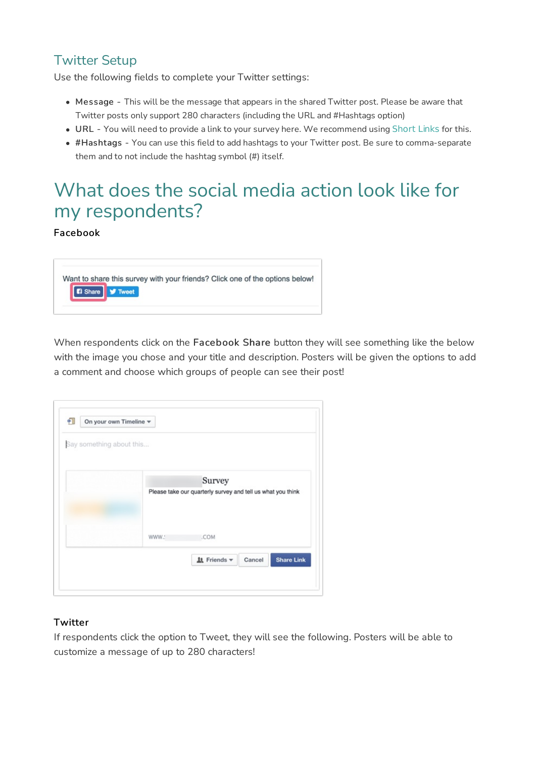### Twitter Setup

Use the following fields to complete your Twitter settings:

- Message This will be the message that appears in the shared Twitter post. Please be aware that Twitter posts only support 280 characters (including the URL and #Hashtags option)
- URL You will need to provide a link to your survey here. We recommend using Short Links for this.
- #Hashtags You can use this field to add hashtags to your Twitter post. Be sure to comma-separate them and to not include the hashtag symbol (#) itself.

## What does the social media action look like for my respondents?

#### Facebook



When respondents click on the Facebook Share button they will see something like the below with the image you chose and your title and description. Posters will be given the options to add a comment and choose which groups of people can see their post!

| Say something about this |                                                             |
|--------------------------|-------------------------------------------------------------|
|                          | Survey                                                      |
|                          | Please take our quarterly survey and tell us what you think |
|                          |                                                             |
|                          |                                                             |
|                          | .COM<br>www.:                                               |
|                          | <u> 4t</u> Friends <del>▼</del><br><b>Share Link</b>        |

#### **Twitter**

If respondents click the option to Tweet, they will see the following. Posters will be able to customize a message of up to 280 characters!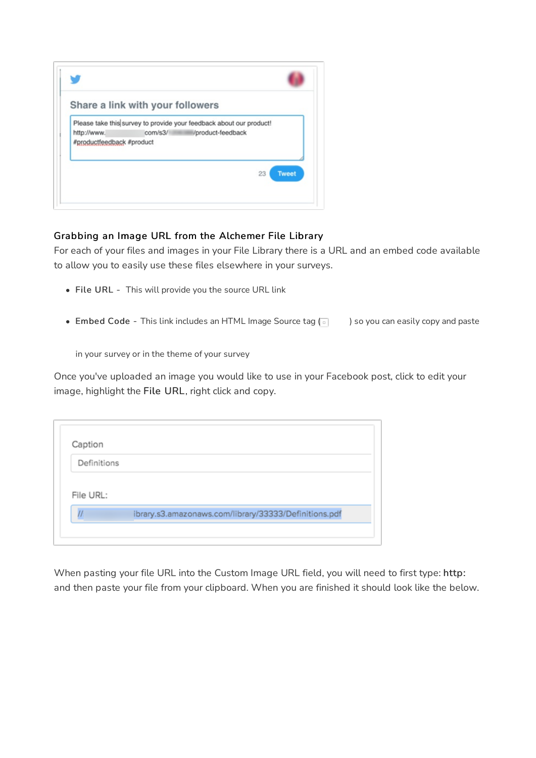|                                          | Share a link with your followers                                                                 |
|------------------------------------------|--------------------------------------------------------------------------------------------------|
| http://www.<br>#productfeedback #product | Please take this survey to provide your feedback about our product!<br>com/s3/ /product-feedback |
|                                          | 23<br><b>Tweet</b>                                                                               |

#### Grabbing an Image URL from the Alchemer File Library

For each of your files and images in your File Library there is a URL and an embed code available to allow you to easily use these files elsewhere in your surveys.

- File URL This will provide you the source URL link
- Embed Code This link includes an HTML Image Source tag  $\lceil \cdot \rceil$  ) so you can easily copy and paste

in your survey or in the theme of your survey

Once you've uploaded an image you would like to use in your Facebook post, click to edit your image, highlight the File URL, right click and copy.

| Definitions |  |
|-------------|--|
|             |  |
|             |  |
|             |  |
| File URL:   |  |

When pasting your file URL into the Custom Image URL field, you will need to first type: http: and then paste your file from your clipboard. When you are finished it should look like the below.